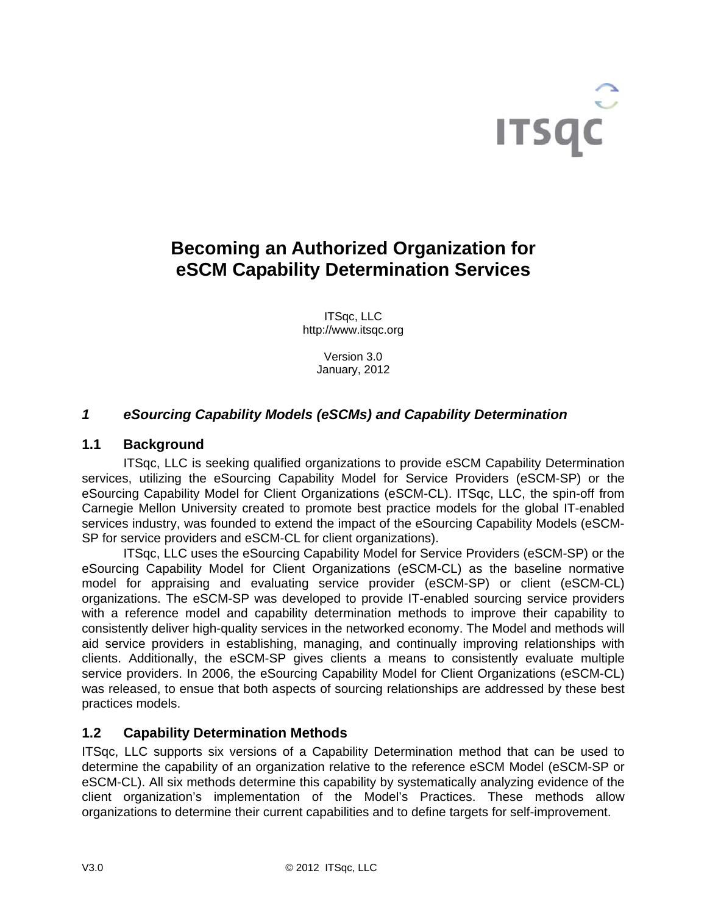

# **Becoming an Authorized Organization for eSCM Capability Determination Services**

ITSqc, LLC http://www.itsqc.org

> Version 3.0 January, 2012

# *1 eSourcing Capability Models (eSCMs) and Capability Determination*

## **1.1 Background**

 ITSqc, LLC is seeking qualified organizations to provide eSCM Capability Determination services, utilizing the eSourcing Capability Model for Service Providers (eSCM-SP) or the eSourcing Capability Model for Client Organizations (eSCM-CL). ITSqc, LLC, the spin-off from Carnegie Mellon University created to promote best practice models for the global IT-enabled services industry, was founded to extend the impact of the eSourcing Capability Models (eSCM-SP for service providers and eSCM-CL for client organizations).

ITSqc, LLC uses the eSourcing Capability Model for Service Providers (eSCM-SP) or the eSourcing Capability Model for Client Organizations (eSCM-CL) as the baseline normative model for appraising and evaluating service provider (eSCM-SP) or client (eSCM-CL) organizations. The eSCM-SP was developed to provide IT-enabled sourcing service providers with a reference model and capability determination methods to improve their capability to consistently deliver high-quality services in the networked economy. The Model and methods will aid service providers in establishing, managing, and continually improving relationships with clients. Additionally, the eSCM-SP gives clients a means to consistently evaluate multiple service providers. In 2006, the eSourcing Capability Model for Client Organizations (eSCM-CL) was released, to ensue that both aspects of sourcing relationships are addressed by these best practices models.

# **1.2 Capability Determination Methods**

ITSqc, LLC supports six versions of a Capability Determination method that can be used to determine the capability of an organization relative to the reference eSCM Model (eSCM-SP or eSCM-CL). All six methods determine this capability by systematically analyzing evidence of the client organization's implementation of the Model's Practices. These methods allow organizations to determine their current capabilities and to define targets for self-improvement.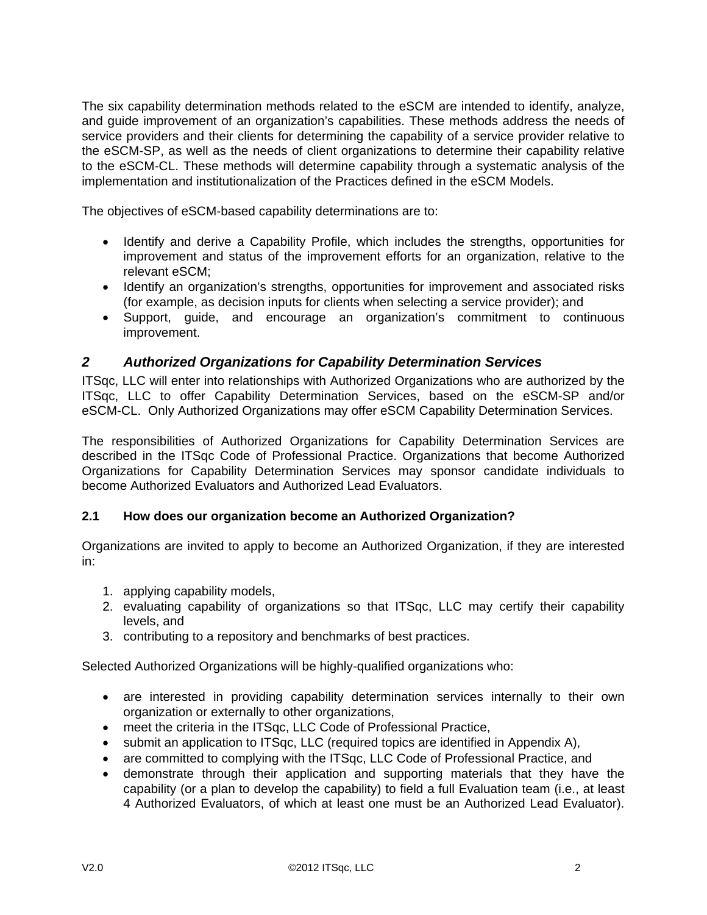The six capability determination methods related to the eSCM are intended to identify, analyze, and guide improvement of an organization's capabilities. These methods address the needs of service providers and their clients for determining the capability of a service provider relative to the eSCM-SP, as well as the needs of client organizations to determine their capability relative to the eSCM-CL. These methods will determine capability through a systematic analysis of the implementation and institutionalization of the Practices defined in the eSCM Models.

The objectives of eSCM-based capability determinations are to:

- Identify and derive a Capability Profile, which includes the strengths, opportunities for improvement and status of the improvement efforts for an organization, relative to the relevant eSCM;
- Identify an organization's strengths, opportunities for improvement and associated risks (for example, as decision inputs for clients when selecting a service provider); and
- Support, guide, and encourage an organization's commitment to continuous improvement.

# *2 Authorized Organizations for Capability Determination Services*

ITSqc, LLC will enter into relationships with Authorized Organizations who are authorized by the ITSqc, LLC to offer Capability Determination Services, based on the eSCM-SP and/or eSCM-CL. Only Authorized Organizations may offer eSCM Capability Determination Services.

The responsibilities of Authorized Organizations for Capability Determination Services are described in the ITSqc Code of Professional Practice. Organizations that become Authorized Organizations for Capability Determination Services may sponsor candidate individuals to become Authorized Evaluators and Authorized Lead Evaluators.

# **2.1 How does our organization become an Authorized Organization?**

Organizations are invited to apply to become an Authorized Organization, if they are interested in:

- 1. applying capability models,
- 2. evaluating capability of organizations so that ITSqc, LLC may certify their capability levels, and
- 3. contributing to a repository and benchmarks of best practices.

Selected Authorized Organizations will be highly-qualified organizations who:

- are interested in providing capability determination services internally to their own organization or externally to other organizations,
- meet the criteria in the ITSqc, LLC Code of Professional Practice,
- submit an application to ITSqc, LLC (required topics are identified in Appendix A),
- are committed to complying with the ITSqc, LLC Code of Professional Practice, and
- demonstrate through their application and supporting materials that they have the capability (or a plan to develop the capability) to field a full Evaluation team (i.e., at least 4 Authorized Evaluators, of which at least one must be an Authorized Lead Evaluator).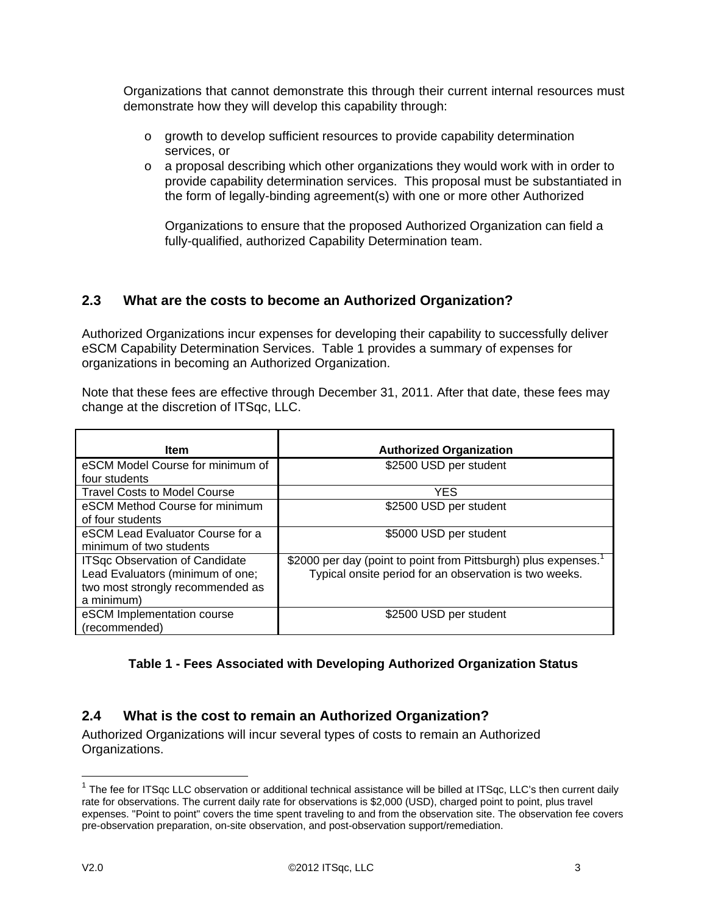Organizations that cannot demonstrate this through their current internal resources must demonstrate how they will develop this capability through:

- o growth to develop sufficient resources to provide capability determination services, or
- $\circ$  a proposal describing which other organizations they would work with in order to provide capability determination services. This proposal must be substantiated in the form of legally-binding agreement(s) with one or more other Authorized

Organizations to ensure that the proposed Authorized Organization can field a fully-qualified, authorized Capability Determination team.

# **2.3 What are the costs to become an Authorized Organization?**

Authorized Organizations incur expenses for developing their capability to successfully deliver eSCM Capability Determination Services. Table 1 provides a summary of expenses for organizations in becoming an Authorized Organization.

Note that these fees are effective through December 31, 2011. After that date, these fees may change at the discretion of ITSqc, LLC.

| <b>Item</b>                           | <b>Authorized Organization</b>                                 |
|---------------------------------------|----------------------------------------------------------------|
| eSCM Model Course for minimum of      | \$2500 USD per student                                         |
| four students                         |                                                                |
| <b>Travel Costs to Model Course</b>   | <b>YES</b>                                                     |
| eSCM Method Course for minimum        | \$2500 USD per student                                         |
| of four students                      |                                                                |
| eSCM Lead Evaluator Course for a      | \$5000 USD per student                                         |
| minimum of two students               |                                                                |
| <b>ITSgc Observation of Candidate</b> | \$2000 per day (point to point from Pittsburgh) plus expenses. |
| Lead Evaluators (minimum of one;      | Typical onsite period for an observation is two weeks.         |
| two most strongly recommended as      |                                                                |
| a minimum)                            |                                                                |
| eSCM Implementation course            | \$2500 USD per student                                         |
| (recommended)                         |                                                                |

# **Table 1 - Fees Associated with Developing Authorized Organization Status**

# **2.4 What is the cost to remain an Authorized Organization?**

Authorized Organizations will incur several types of costs to remain an Authorized Organizations.

 $\overline{a}$ 

<sup>&</sup>lt;sup>1</sup> The fee for ITSqc LLC observation or additional technical assistance will be billed at ITSqc, LLC's then current daily rate for observations. The current daily rate for observations is \$2,000 (USD), charged point to point, plus travel expenses. "Point to point" covers the time spent traveling to and from the observation site. The observation fee covers pre-observation preparation, on-site observation, and post-observation support/remediation.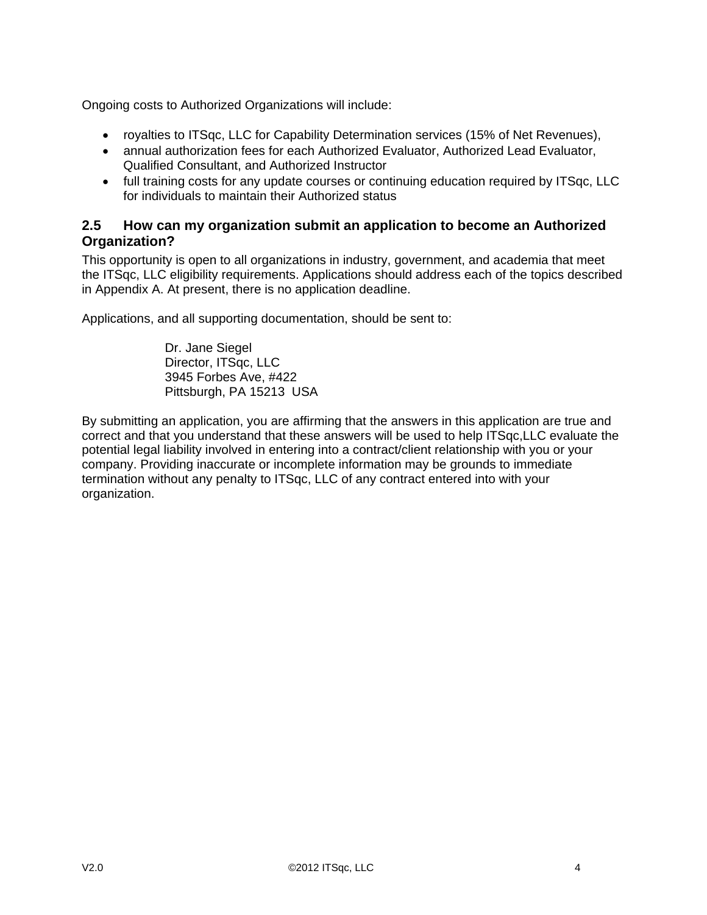Ongoing costs to Authorized Organizations will include:

- royalties to ITSqc, LLC for Capability Determination services (15% of Net Revenues),
- annual authorization fees for each Authorized Evaluator, Authorized Lead Evaluator, Qualified Consultant, and Authorized Instructor
- full training costs for any update courses or continuing education required by ITSqc, LLC for individuals to maintain their Authorized status

## **2.5 How can my organization submit an application to become an Authorized Organization?**

This opportunity is open to all organizations in industry, government, and academia that meet the ITSqc, LLC eligibility requirements. Applications should address each of the topics described in Appendix A. At present, there is no application deadline.

Applications, and all supporting documentation, should be sent to:

Dr. Jane Siegel Director, ITSqc, LLC 3945 Forbes Ave, #422 Pittsburgh, PA 15213 USA

By submitting an application, you are affirming that the answers in this application are true and correct and that you understand that these answers will be used to help ITSqc,LLC evaluate the potential legal liability involved in entering into a contract/client relationship with you or your company. Providing inaccurate or incomplete information may be grounds to immediate termination without any penalty to ITSqc, LLC of any contract entered into with your organization.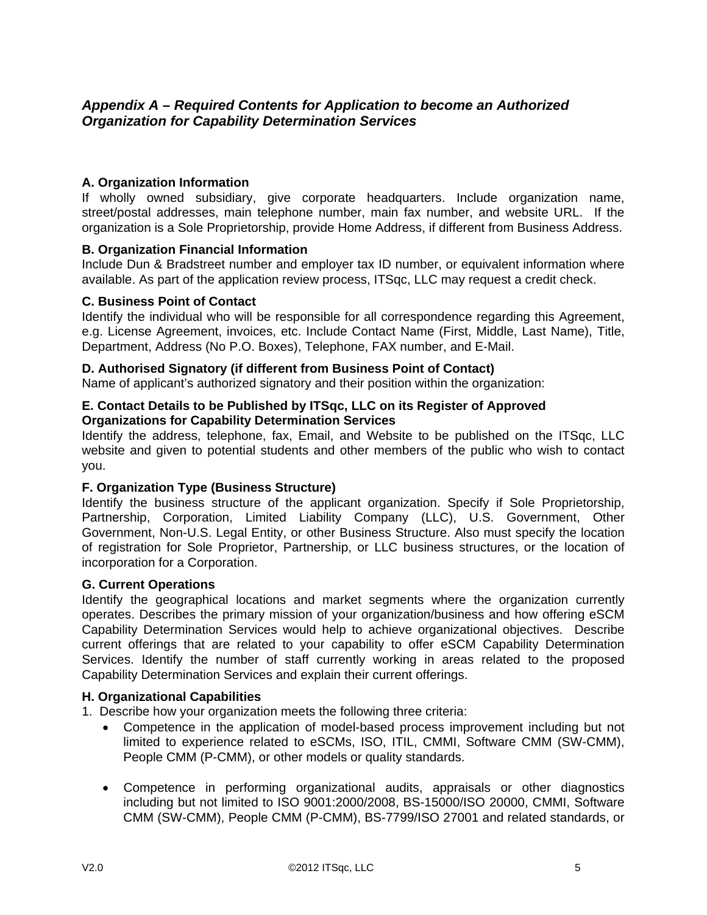# *Appendix A – Required Contents for Application to become an Authorized Organization for Capability Determination Services*

## **A. Organization Information**

If wholly owned subsidiary, give corporate headquarters. Include organization name, street/postal addresses, main telephone number, main fax number, and website URL. If the organization is a Sole Proprietorship, provide Home Address, if different from Business Address.

#### **B. Organization Financial Information**

Include Dun & Bradstreet number and employer tax ID number, or equivalent information where available. As part of the application review process, ITSqc, LLC may request a credit check.

#### **C. Business Point of Contact**

Identify the individual who will be responsible for all correspondence regarding this Agreement, e.g. License Agreement, invoices, etc. Include Contact Name (First, Middle, Last Name), Title, Department, Address (No P.O. Boxes), Telephone, FAX number, and E-Mail.

### **D. Authorised Signatory (if different from Business Point of Contact)**

Name of applicant's authorized signatory and their position within the organization:

#### **E. Contact Details to be Published by ITSqc, LLC on its Register of Approved Organizations for Capability Determination Services**

Identify the address, telephone, fax, Email, and Website to be published on the ITSqc, LLC website and given to potential students and other members of the public who wish to contact you.

## **F. Organization Type (Business Structure)**

Identify the business structure of the applicant organization. Specify if Sole Proprietorship, Partnership, Corporation, Limited Liability Company (LLC), U.S. Government, Other Government, Non-U.S. Legal Entity, or other Business Structure. Also must specify the location of registration for Sole Proprietor, Partnership, or LLC business structures, or the location of incorporation for a Corporation.

#### **G. Current Operations**

Identify the geographical locations and market segments where the organization currently operates. Describes the primary mission of your organization/business and how offering eSCM Capability Determination Services would help to achieve organizational objectives. Describe current offerings that are related to your capability to offer eSCM Capability Determination Services. Identify the number of staff currently working in areas related to the proposed Capability Determination Services and explain their current offerings.

#### **H. Organizational Capabilities**

- 1. Describe how your organization meets the following three criteria:
	- Competence in the application of model-based process improvement including but not limited to experience related to eSCMs, ISO, ITIL, CMMI, Software CMM (SW-CMM), People CMM (P-CMM), or other models or quality standards.
	- Competence in performing organizational audits, appraisals or other diagnostics including but not limited to ISO 9001:2000/2008, BS-15000/ISO 20000, CMMI, Software CMM (SW-CMM), People CMM (P-CMM), BS-7799/ISO 27001 and related standards, or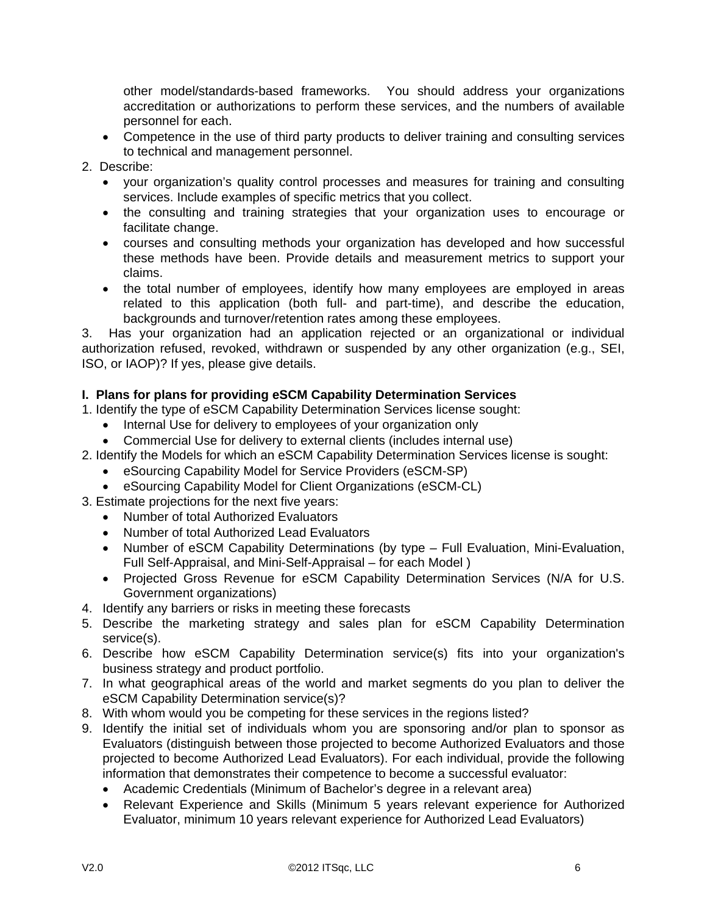other model/standards-based frameworks. You should address your organizations accreditation or authorizations to perform these services, and the numbers of available personnel for each.

- Competence in the use of third party products to deliver training and consulting services to technical and management personnel.
- 2. Describe:
	- your organization's quality control processes and measures for training and consulting services. Include examples of specific metrics that you collect.
	- the consulting and training strategies that your organization uses to encourage or facilitate change.
	- courses and consulting methods your organization has developed and how successful these methods have been. Provide details and measurement metrics to support your claims.
	- the total number of employees, identify how many employees are employed in areas related to this application (both full- and part-time), and describe the education, backgrounds and turnover/retention rates among these employees.

3. Has your organization had an application rejected or an organizational or individual authorization refused, revoked, withdrawn or suspended by any other organization (e.g., SEI, ISO, or IAOP)? If yes, please give details.

## **I. Plans for plans for providing eSCM Capability Determination Services**

- 1. Identify the type of eSCM Capability Determination Services license sought:
	- Internal Use for delivery to employees of your organization only
	- Commercial Use for delivery to external clients (includes internal use)
- 2. Identify the Models for which an eSCM Capability Determination Services license is sought:
	- eSourcing Capability Model for Service Providers (eSCM-SP)
	- eSourcing Capability Model for Client Organizations (eSCM-CL)
- 3. Estimate projections for the next five years:
	- Number of total Authorized Evaluators
	- Number of total Authorized Lead Evaluators
	- Number of eSCM Capability Determinations (by type Full Evaluation, Mini-Evaluation, Full Self-Appraisal, and Mini-Self-Appraisal – for each Model )
	- Projected Gross Revenue for eSCM Capability Determination Services (N/A for U.S. Government organizations)
- 4. Identify any barriers or risks in meeting these forecasts
- 5. Describe the marketing strategy and sales plan for eSCM Capability Determination service(s).
- 6. Describe how eSCM Capability Determination service(s) fits into your organization's business strategy and product portfolio.
- 7. In what geographical areas of the world and market segments do you plan to deliver the eSCM Capability Determination service(s)?
- 8. With whom would you be competing for these services in the regions listed?
- 9. Identify the initial set of individuals whom you are sponsoring and/or plan to sponsor as Evaluators (distinguish between those projected to become Authorized Evaluators and those projected to become Authorized Lead Evaluators). For each individual, provide the following information that demonstrates their competence to become a successful evaluator:
	- Academic Credentials (Minimum of Bachelor's degree in a relevant area)
	- Relevant Experience and Skills (Minimum 5 years relevant experience for Authorized Evaluator, minimum 10 years relevant experience for Authorized Lead Evaluators)